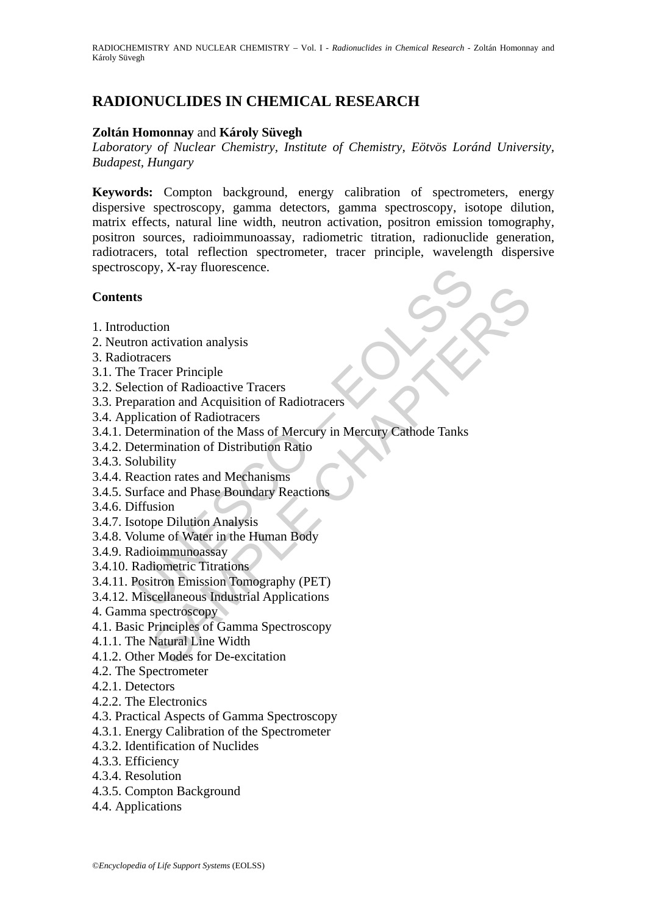# **RADIONUCLIDES IN CHEMICAL RESEARCH**

### **Zoltán Homonnay** and **Károly Süvegh**

*Laboratory of Nuclear Chemistry, Institute of Chemistry, Eötvös Loránd University, Budapest, Hungary* 

**Keywords:** Compton background, energy calibration of spectrometers, energy dispersive spectroscopy, gamma detectors, gamma spectroscopy, isotope dilution, matrix effects, natural line width, neutron activation, positron emission tomography, positron sources, radioimmunoassay, radiometric titration, radionuclide generation, radiotracers, total reflection spectrometer, tracer principle, wavelength dispersive spectroscopy, X-ray fluorescence.

### **Contents**

- 1. Introduction
- 2. Neutron activation analysis
- 3. Radiotracers
- 3.1. The Tracer Principle
- 3.2. Selection of Radioactive Tracers
- 3.3. Preparation and Acquisition of Radiotracers
- 3.4. Application of Radiotracers
- copy, X-ray fluorescence.<br>
ts<br>
ts<br>
duction<br>
corrects<br>
tracers<br>
tracers<br>
tracers<br>
certer Principle<br>
ection of Radioactive Tracers<br>
paration and Acquisition of Radiotracers<br>
plication of Radiotracers<br>
etermination of Distrib tion<br>
activation analysis<br>
acers<br>
acer Principle<br>
corn of Radiotactive Tracers<br>
ation and Acquisition of Radiotracers<br>
ation of Radiotactive<br>
mination of Distribution Ratio<br>
bility<br>
bility<br>
bility<br>
bility<br>
tion rates and M 3.4.1. Determination of the Mass of Mercury in Mercury Cathode Tanks
- 3.4.2. Determination of Distribution Ratio
- 3.4.3. Solubility
- 3.4.4. Reaction rates and Mechanisms
- 3.4.5. Surface and Phase Boundary Reactions
- 3.4.6. Diffusion
- 3.4.7. Isotope Dilution Analysis
- 3.4.8. Volume of Water in the Human Body
- 3.4.9. Radioimmunoassay
- 3.4.10. Radiometric Titrations
- 3.4.11. Positron Emission Tomography (PET)
- 3.4.12. Miscellaneous Industrial Applications
- 4. Gamma spectroscopy
- 4.1. Basic Principles of Gamma Spectroscopy
- 4.1.1. The Natural Line Width
- 4.1.2. Other Modes for De-excitation
- 4.2. The Spectrometer
- 4.2.1. Detectors
- 4.2.2. The Electronics
- 4.3. Practical Aspects of Gamma Spectroscopy
- 4.3.1. Energy Calibration of the Spectrometer
- 4.3.2. Identification of Nuclides
- 4.3.3. Efficiency
- 4.3.4. Resolution
- 4.3.5. Compton Background
- 4.4. Applications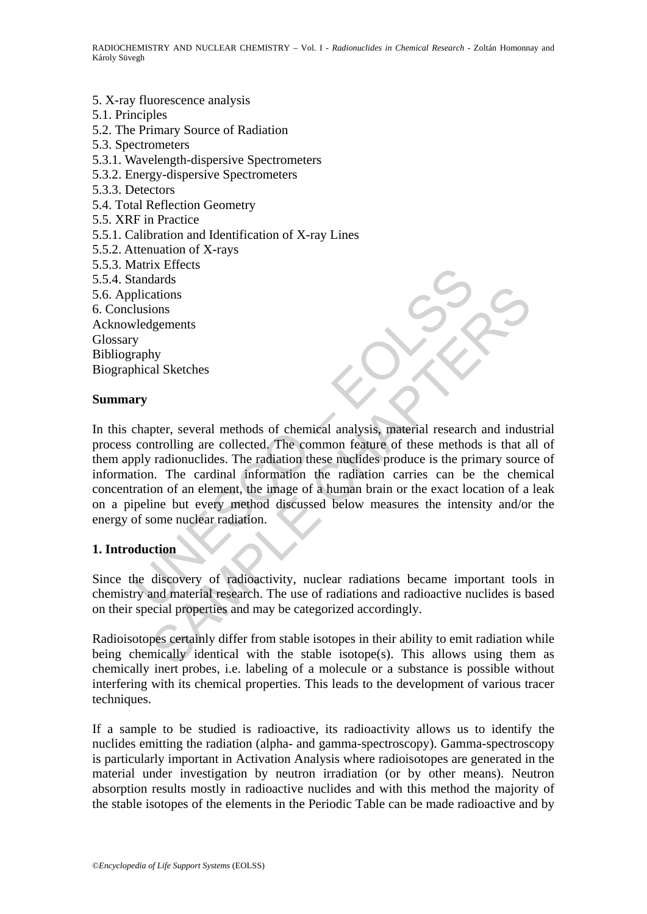5. X-ray fluorescence analysis 5.1. Principles 5.2. The Primary Source of Radiation 5.3. Spectrometers 5.3.1. Wavelength-dispersive Spectrometers 5.3.2. Energy-dispersive Spectrometers 5.3.3. Detectors 5.4. Total Reflection Geometry 5.5. XRF in Practice 5.5.1. Calibration and Identification of X-ray Lines 5.5.2. Attenuation of X-rays 5.5.3. Matrix Effects 5.5.4. Standards 5.6. Applications 6. Conclusions Acknowledgements Glossary Bibliography Biographical Sketches

#### **Summary**

Franchiscore<br>
atandards<br>
sultantary<br>
sultantary<br>
sultantary<br>
sultantary<br>
sultantary<br>
sultantary<br>
sultantary<br>
sultantary<br>
sultantary<br>
sultantary<br>
surface and the common feature of these method<br>
ply radionuclides. The radiat The stations<br>
antions<br>
stations<br>
stations<br>
stations<br>
stations<br>
stations<br>
the collected. The common feature and industrial research and industrial<br>
are collected. The common feature of these methods is that a<br>
radionuclides In this chapter, several methods of chemical analysis, material research and industrial process controlling are collected. The common feature of these methods is that all of them apply radionuclides. The radiation these nuclides produce is the primary source of information. The cardinal information the radiation carries can be the chemical concentration of an element, the image of a human brain or the exact location of a leak on a pipeline but every method discussed below measures the intensity and/or the energy of some nuclear radiation.

## **1. Introduction**

Since the discovery of radioactivity, nuclear radiations became important tools in chemistry and material research. The use of radiations and radioactive nuclides is based on their special properties and may be categorized accordingly.

Radioisotopes certainly differ from stable isotopes in their ability to emit radiation while being chemically identical with the stable isotope(s). This allows using them as chemically inert probes, i.e. labeling of a molecule or a substance is possible without interfering with its chemical properties. This leads to the development of various tracer techniques.

If a sample to be studied is radioactive, its radioactivity allows us to identify the nuclides emitting the radiation (alpha- and gamma-spectroscopy). Gamma-spectroscopy is particularly important in Activation Analysis where radioisotopes are generated in the material under investigation by neutron irradiation (or by other means). Neutron absorption results mostly in radioactive nuclides and with this method the majority of the stable isotopes of the elements in the Periodic Table can be made radioactive and by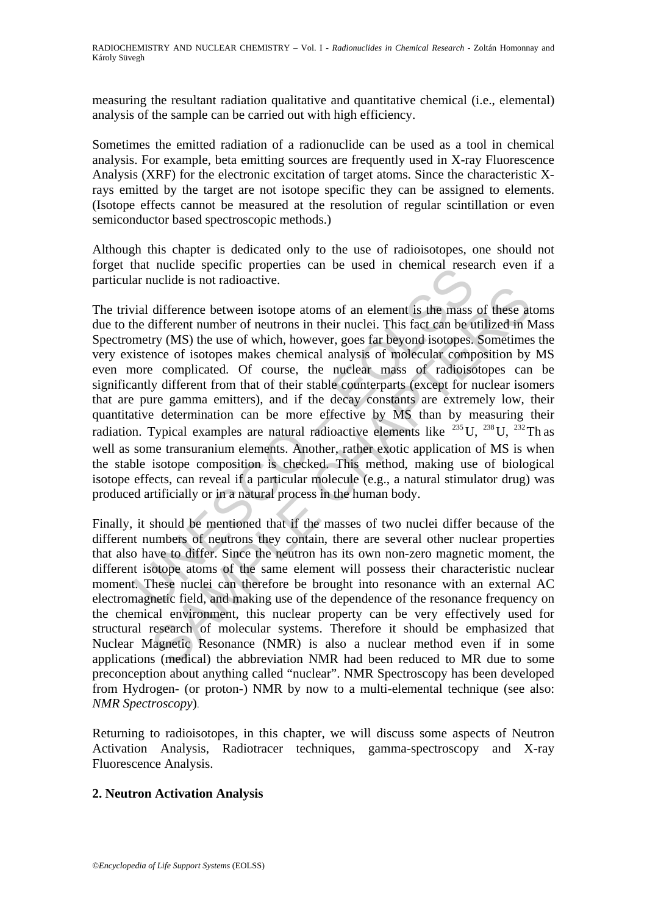measuring the resultant radiation qualitative and quantitative chemical (i.e., elemental) analysis of the sample can be carried out with high efficiency.

Sometimes the emitted radiation of a radionuclide can be used as a tool in chemical analysis. For example, beta emitting sources are frequently used in X-ray Fluorescence Analysis (XRF) for the electronic excitation of target atoms. Since the characteristic Xrays emitted by the target are not isotope specific they can be assigned to elements. (Isotope effects cannot be measured at the resolution of regular scintillation or even semiconductor based spectroscopic methods.)

Although this chapter is dedicated only to the use of radioisotopes, one should not forget that nuclide specific properties can be used in chemical research even if a particular nuclide is not radioactive.

and interior specific properties can be used in clientical resear muclide is not radioactive.<br>
And difference between isotope atoms of an element is the mass<br>
the different number of neutrons in their nuclei. This fact ca difference between isotope atoms of an element is the mass of these at<br>difference humber of neutrons in their nuclei. This fact can be utilized in N<br>try (MS) the use of which, however, goes far beyond isotopes. Sometimes<br> The trivial difference between isotope atoms of an element is the mass of these atoms due to the different number of neutrons in their nuclei. This fact can be utilized in Mass Spectrometry (MS) the use of which, however, goes far beyond isotopes. Sometimes the very existence of isotopes makes chemical analysis of molecular composition by MS even more complicated. Of course, the nuclear mass of radioisotopes can be significantly different from that of their stable counterparts (except for nuclear isomers that are pure gamma emitters), and if the decay constants are extremely low, their quantitative determination can be more effective by MS than by measuring their radiation. Typical examples are natural radioactive elements like  $^{235}$ U,  $^{238}$ U,  $^{232}$ Th as well as some transuranium elements. Another, rather exotic application of MS is when the stable isotope composition is checked. This method, making use of biological isotope effects, can reveal if a particular molecule (e.g., a natural stimulator drug) was produced artificially or in a natural process in the human body.

Finally, it should be mentioned that if the masses of two nuclei differ because of the different numbers of neutrons they contain, there are several other nuclear properties that also have to differ. Since the neutron has its own non-zero magnetic moment, the different isotope atoms of the same element will possess their characteristic nuclear moment. These nuclei can therefore be brought into resonance with an external AC electromagnetic field, and making use of the dependence of the resonance frequency on the chemical environment, this nuclear property can be very effectively used for structural research of molecular systems. Therefore it should be emphasized that Nuclear Magnetic Resonance (NMR) is also a nuclear method even if in some applications (medical) the abbreviation NMR had been reduced to MR due to some preconception about anything called "nuclear". NMR Spectroscopy has been developed from Hydrogen- (or proton-) NMR by now to a multi-elemental technique (see also: *NMR Spectroscopy*).

Returning to radioisotopes, in this chapter, we will discuss some aspects of Neutron Activation Analysis, Radiotracer techniques, gamma-spectroscopy and X-ray Fluorescence Analysis.

## **2. Neutron Activation Analysis**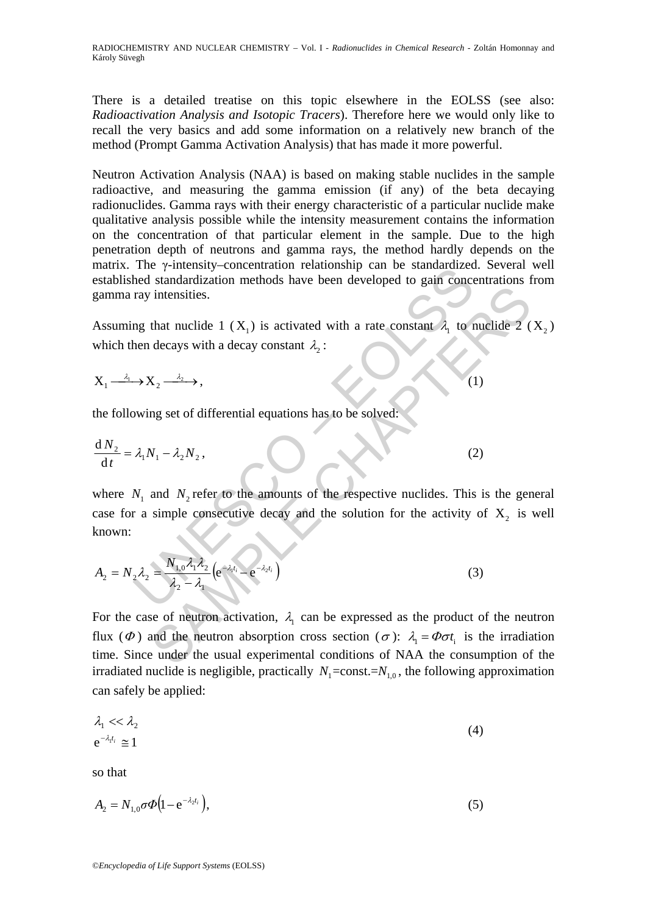There is a detailed treatise on this topic elsewhere in the EOLSS (see also: *Radioactivation Analysis and Isotopic Tracers*). Therefore here we would only like to recall the very basics and add some information on a relatively new branch of the method (Prompt Gamma Activation Analysis) that has made it more powerful.

Neutron Activation Analysis (NAA) is based on making stable nuclides in the sample radioactive, and measuring the gamma emission (if any) of the beta decaying radionuclides. Gamma rays with their energy characteristic of a particular nuclide make qualitative analysis possible while the intensity measurement contains the information on the concentration of that particular element in the sample. Due to the high penetration depth of neutrons and gamma rays, the method hardly depends on the matrix. The γ-intensity–concentration relationship can be standardized. Several well established standardization methods have been developed to gain concentrations from gamma ray intensities.

Assuming that nuclide 1 ( $X_1$ ) is activated with a rate constant  $\lambda_1$  to nuclide 2 ( $X_2$ ) which then decays with a decay constant  $\lambda$ .

$$
X_1 \xrightarrow{\lambda_1} X_2 \xrightarrow{\lambda_2} \tag{1}
$$

the following set of differential equations has to be solved:

$$
\frac{dN_2}{dt} = \lambda_1 N_1 - \lambda_2 N_2, \tag{2}
$$

The P-intensity-concentration relationship can be standardized<br>the distribution methods have been developed to gain concern and intensities.<br>Then decays with a decay constant  $\lambda_2$ :<br> $\rightarrow X_2 \xrightarrow{\lambda_2}$ ,<br>wing set of different where  $N_1$  and  $N_2$  refer to the amounts of the respective nuclides. This is the general case for a simple consecutive decay and the solution for the activity of  $X_2$  is well known:

$$
A_2 = N_2 \lambda_2 = \frac{N_{1,0} \lambda_1 \lambda_2}{\lambda_2 - \lambda_1} \left( e^{-\lambda_1 t_i} - e^{-\lambda_2 t_i} \right)
$$
 (3)

intensities.<br>
that nuclide 1 (X<sub>1</sub>) is activated with a rate constant  $\lambda_1$  to nuclide 2 (<br>
decays with a decay constant  $\lambda_2$ :<br>  $X_2 \xrightarrow{\lambda_2}$ ,<br>  $X_1 - \lambda_2 N_2$ ,<br>
and  $N_2$  refer to the amounts of the respective nuclides. For the case of neutron activation,  $\lambda_1$  can be expressed as the product of the neutron flux ( $\Phi$ ) and the neutron absorption cross section ( $\sigma$ ):  $\lambda_1 = \Phi \sigma t_i$  is the irradiation time. Since under the usual experimental conditions of NAA the consumption of the irradiated nuclide is negligible, practically  $N_1 = \text{const.} = N_{1,0}$ , the following approximation can safely be applied:

$$
\lambda_1 \ll \lambda_2
$$
\n
$$
e^{-\lambda_1 t_i} \approx 1
$$
\n(4)

so that

$$
A_2 = N_{1,0} \sigma \Phi (1 - e^{-\lambda_2 t_i}),
$$
\n(5)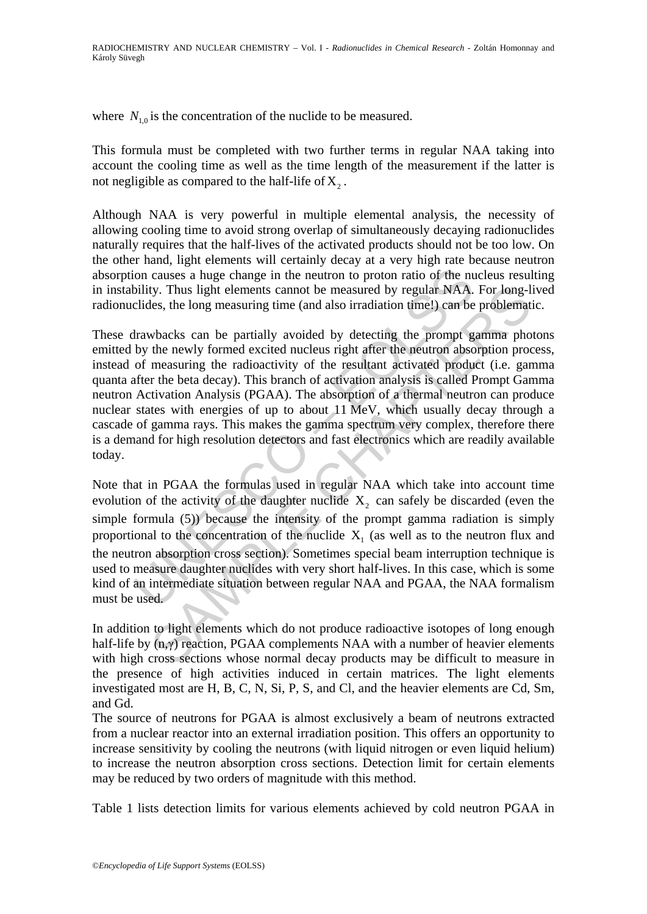where  $N_{10}$  is the concentration of the nuclide to be measured.

This formula must be completed with two further terms in regular NAA taking into account the cooling time as well as the time length of the measurement if the latter is not negligible as compared to the half-life of  $X_2$ .

Although NAA is very powerful in multiple elemental analysis, the necessity of allowing cooling time to avoid strong overlap of simultaneously decaying radionuclides naturally requires that the half-lives of the activated products should not be too low. On the other hand, light elements will certainly decay at a very high rate because neutron absorption causes a huge change in the neutron to proton ratio of the nucleus resulting in instability. Thus light elements cannot be measured by regular NAA. For long-lived radionuclides, the long measuring time (and also irradiation time!) can be problematic.

ion causes a huge change in the neutron to proton ratio of the nubility. Thus light elements cannot be measured by regular NAA.<br>Cildes, the long measuring time (and also irradiation time!) can be<br>Irawbacks can be partiall Ity. Thus light elements cannot be measured by regular NAA. For long-les, the long measuring time (and also irradiation time!) can be problemat whacks can be partially avoided by detecting the prompt gamma phot measuring These drawbacks can be partially avoided by detecting the prompt gamma photons emitted by the newly formed excited nucleus right after the neutron absorption process, instead of measuring the radioactivity of the resultant activated product (i.e. gamma quanta after the beta decay). This branch of activation analysis is called Prompt Gamma neutron Activation Analysis (PGAA). The absorption of a thermal neutron can produce nuclear states with energies of up to about 11 MeV, which usually decay through a cascade of gamma rays. This makes the gamma spectrum very complex, therefore there is a demand for high resolution detectors and fast electronics which are readily available today.

Note that in PGAA the formulas used in regular NAA which take into account time evolution of the activity of the daughter nuclide  $X_2$  can safely be discarded (even the simple formula (5)) because the intensity of the prompt gamma radiation is simply proportional to the concentration of the nuclide  $X<sub>1</sub>$  (as well as to the neutron flux and the neutron absorption cross section). Sometimes special beam interruption technique is used to measure daughter nuclides with very short half-lives. In this case, which is some kind of an intermediate situation between regular NAA and PGAA, the NAA formalism must be used.

In addition to light elements which do not produce radioactive isotopes of long enough half-life by (n,γ) reaction, PGAA complements NAA with a number of heavier elements with high cross sections whose normal decay products may be difficult to measure in the presence of high activities induced in certain matrices. The light elements investigated most are H, B, C, N, Si, P, S, and Cl, and the heavier elements are Cd, Sm, and Gd.

The source of neutrons for PGAA is almost exclusively a beam of neutrons extracted from a nuclear reactor into an external irradiation position. This offers an opportunity to increase sensitivity by cooling the neutrons (with liquid nitrogen or even liquid helium) to increase the neutron absorption cross sections. Detection limit for certain elements may be reduced by two orders of magnitude with this method.

Table 1 lists detection limits for various elements achieved by cold neutron PGAA in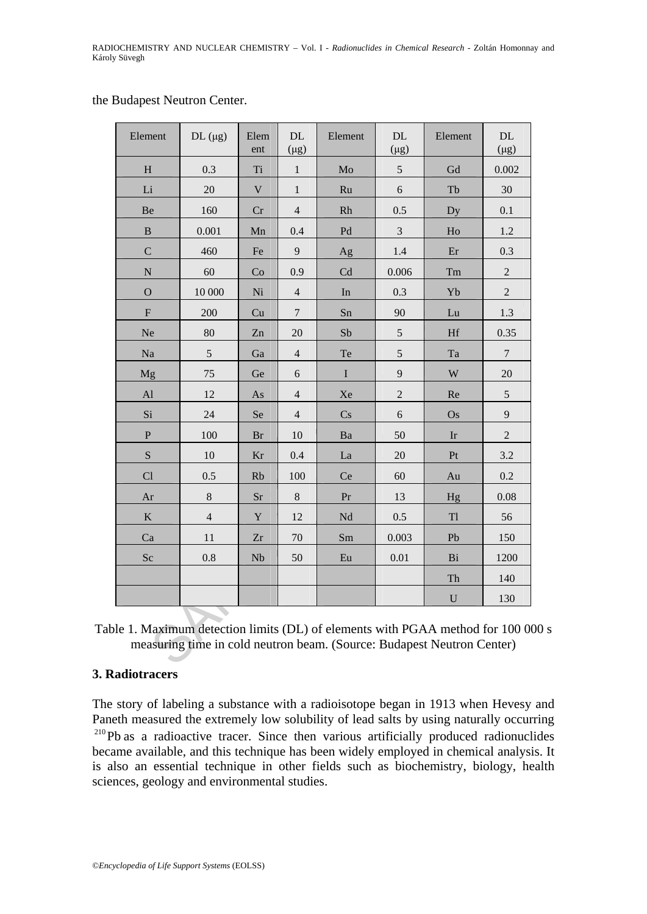#### the Budapest Neutron Center.

| Element                                                                                                                                              | $DL$ ( $\mu$ g) | Elem<br>ent               | DL<br>$(\mu g)$ | Element | DL.<br>$(\mu g)$ | Element   | DL.<br>$(\mu g)$ |
|------------------------------------------------------------------------------------------------------------------------------------------------------|-----------------|---------------------------|-----------------|---------|------------------|-----------|------------------|
| H                                                                                                                                                    | 0.3             | <b>Ti</b>                 | $\mathbf{1}$    | Mo      | 5                | Gd        | 0.002            |
| Li                                                                                                                                                   | 20              | $\ensuremath{\mathsf{V}}$ | $\mathbf{1}$    | Ru      | 6                | Tb        | 30               |
| Be                                                                                                                                                   | 160             | Cr                        | $\overline{4}$  | Rh      | 0.5              | Dy        | 0.1              |
| $\, {\bf B}$                                                                                                                                         | 0.001           | Mn                        | 0.4             | Pd      | $\mathfrak{Z}$   | Ho        | 1.2              |
| $\mathcal{C}$                                                                                                                                        | 460             | Fe                        | 9               | Ag      | 1.4              | Er        | 0.3              |
| $\mathbf N$                                                                                                                                          | 60              | Co                        | 0.9             | Cd      | 0.006            | Tm        | $\overline{2}$   |
| $\overline{O}$                                                                                                                                       | 10 000          | Ni                        | $\overline{4}$  | In      | 0.3              | Yb        | $\overline{2}$   |
| ${\bf F}$                                                                                                                                            | 200             | Cu                        | $\overline{7}$  | Sn      | 90               | Lu        | 1.3              |
| Ne                                                                                                                                                   | 80              | Zn                        | 20              | Sb      | $\sqrt{5}$       | <b>Hf</b> | 0.35             |
| Na                                                                                                                                                   | 5               | Ga                        | $\overline{4}$  | Te      | 5                | Ta        | $\overline{7}$   |
| Mg                                                                                                                                                   | 75              | Ge                        | 6               | $\bf I$ | 9                | W         | 20               |
| Al                                                                                                                                                   | 12              | As                        | $\overline{4}$  | Xe      | $\overline{2}$   | Re        | $\mathfrak s$    |
| Si                                                                                                                                                   | 24              | Se                        | 4               | Cs      | 6                | Os        | 9                |
| $\mathbf P$                                                                                                                                          | 100             | Br                        | 10              | Ba      | 50               | Ir        | $\overline{2}$   |
| S                                                                                                                                                    | 10              | Kr                        | 0.4             | La      | 20               | Pt        | 3.2              |
| Cl                                                                                                                                                   | 0.5             | <b>Rb</b>                 | 100             | Ce      | 60               | Au        | 0.2              |
| Ar                                                                                                                                                   | $8\,$           | Sr                        | $8\,$           | Pr      | 13               | Hg        | 0.08             |
| $\bf K$                                                                                                                                              | $\overline{4}$  | $\mathbf Y$               | 12              | Nd      | 0.5              | Tl        | 56               |
| Ca                                                                                                                                                   | 11              | Zr                        | 70              | Sm      | 0.003            | Pb        | 150              |
| Sc                                                                                                                                                   | 0.8             | Nb                        | 50              | Eu      | 0.01             | Bi        | 1200             |
|                                                                                                                                                      |                 |                           |                 |         |                  | Th        | 140              |
|                                                                                                                                                      |                 |                           |                 |         |                  | ${\bf U}$ | 130              |
| le 1. Maximum detection limits (DL) of elements with PGAA method for 100 0<br>measuring time in cold neutron beam. (Source: Budapest Neutron Center) |                 |                           |                 |         |                  |           |                  |

Table 1. Maximum detection limits (DL) of elements with PGAA method for 100 000 s measuring time in cold neutron beam. (Source: Budapest Neutron Center)

#### **3. Radiotracers**

The story of labeling a substance with a radioisotope began in 1913 when Hevesy and Paneth measured the extremely low solubility of lead salts by using naturally occurring <sup>210</sup>Pb as a radioactive tracer. Since then various artificially produced radionuclides became available, and this technique has been widely employed in chemical analysis. It is also an essential technique in other fields such as biochemistry, biology, health sciences, geology and environmental studies.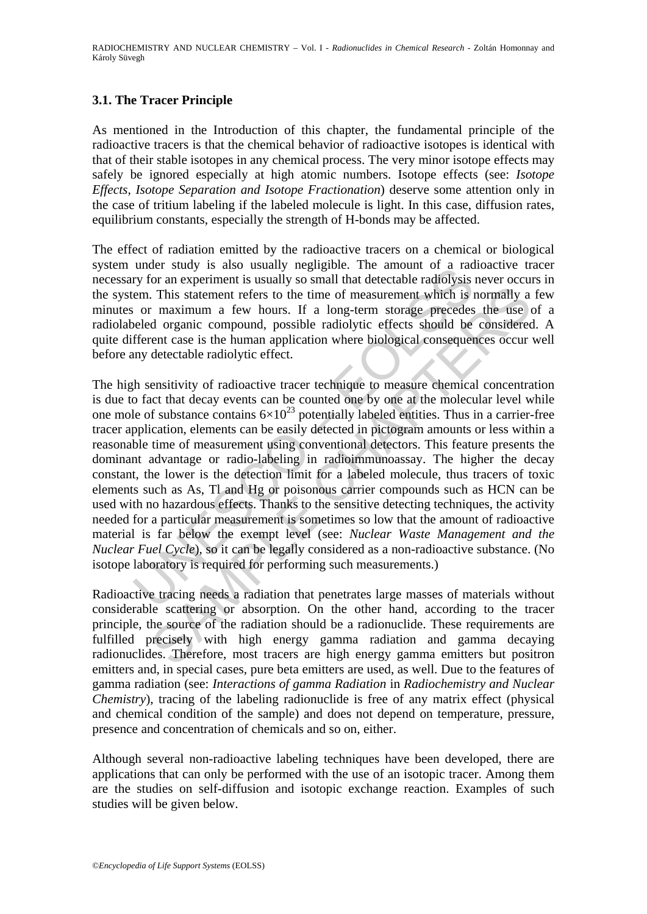# **3.1. The Tracer Principle**

As mentioned in the Introduction of this chapter, the fundamental principle of the radioactive tracers is that the chemical behavior of radioactive isotopes is identical with that of their stable isotopes in any chemical process. The very minor isotope effects may safely be ignored especially at high atomic numbers. Isotope effects (see: *Isotope Effects, Isotope Separation and Isotope Fractionation*) deserve some attention only in the case of tritium labeling if the labeled molecule is light. In this case, diffusion rates, equilibrium constants, especially the strength of H-bonds may be affected.

The effect of radiation emitted by the radioactive tracers on a chemical or biological system under study is also usually negligible. The amount of a radioactive tracer necessary for an experiment is usually so small that detectable radiolysis never occurs in the system. This statement refers to the time of measurement which is normally a few minutes or maximum a few hours. If a long-term storage precedes the use of a radiolabeled organic compound, possible radiolytic effects should be considered. A quite different case is the human application where biological consequences occur well before any detectable radiolytic effect.

unce Survey is also usually pegligion. The amount of a radio<br>try for an experiment is usually so small that detectable radiolysis<br>rem. This statement refers to the time of measurement which is i<br>or maximum a few hours. If . This statement refers to the time of measurement which is normally a<br>
r maximum a few hours. If a long-term storage precedes the use of<br>
r maximum a few hours. If a long-term storage precedes the use of<br>
reaction where The high sensitivity of radioactive tracer technique to measure chemical concentration is due to fact that decay events can be counted one by one at the molecular level while one mole of substance contains  $6\times10^{23}$  potentially labeled entities. Thus in a carrier-free tracer application, elements can be easily detected in pictogram amounts or less within a reasonable time of measurement using conventional detectors. This feature presents the dominant advantage or radio-labeling in radioimmunoassay. The higher the decay constant, the lower is the detection limit for a labeled molecule, thus tracers of toxic elements such as As, Tl and Hg or poisonous carrier compounds such as HCN can be used with no hazardous effects. Thanks to the sensitive detecting techniques, the activity needed for a particular measurement is sometimes so low that the amount of radioactive material is far below the exempt level (see: *Nuclear Waste Management and the Nuclear Fuel Cycle*), so it can be legally considered as a non-radioactive substance. (No isotope laboratory is required for performing such measurements.)

Radioactive tracing needs a radiation that penetrates large masses of materials without considerable scattering or absorption. On the other hand, according to the tracer principle, the source of the radiation should be a radionuclide. These requirements are fulfilled precisely with high energy gamma radiation and gamma decaying radionuclides. Therefore, most tracers are high energy gamma emitters but positron emitters and, in special cases, pure beta emitters are used, as well. Due to the features of gamma radiation (see: *Interactions of gamma Radiation* in *Radiochemistry and Nuclear Chemistry*), tracing of the labeling radionuclide is free of any matrix effect (physical and chemical condition of the sample) and does not depend on temperature, pressure, presence and concentration of chemicals and so on, either.

Although several non-radioactive labeling techniques have been developed, there are applications that can only be performed with the use of an isotopic tracer. Among them are the studies on self-diffusion and isotopic exchange reaction. Examples of such studies will be given below.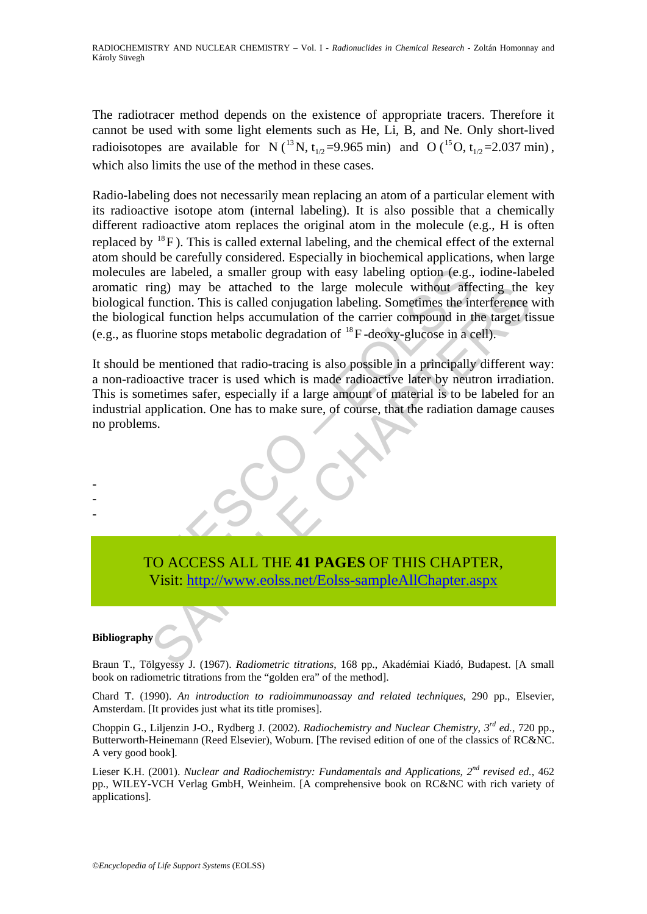The radiotracer method depends on the existence of appropriate tracers. Therefore it cannot be used with some light elements such as He, Li, B, and Ne. Only short-lived radioisotopes are available for N (<sup>13</sup> N, t<sub>1/2</sub>=9.965 min) and O (<sup>15</sup>O, t<sub>1/2</sub>=2.037 min), which also limits the use of the method in these cases.

les are labeled, a smaller group with easy labeling option (e.g., c ring) may be attached to the large molecule without affered all function. This is called conjugation labeling. Sometimes the in ogical function helps accu Radio-labeling does not necessarily mean replacing an atom of a particular element with its radioactive isotope atom (internal labeling). It is also possible that a chemically different radioactive atom replaces the original atom in the molecule (e.g., H is often replaced by  $^{18}$ F). This is called external labeling, and the chemical effect of the external atom should be carefully considered. Especially in biochemical applications, when large molecules are labeled, a smaller group with easy labeling option (e.g., iodine-labeled aromatic ring) may be attached to the large molecule without affecting the key biological function. This is called conjugation labeling. Sometimes the interference with the biological function helps accumulation of the carrier compound in the target tissue (e.g., as fluorine stops metabolic degradation of  $^{18}$ F -deoxy-glucose in a cell).

ing) may be attached to the large molecule without affecting the<br>function. This is called conjugation labeling. Sometimes the interference<br>cal function helps accumulation of the carrier compound in the target ti<br>orine stop It should be mentioned that radio-tracing is also possible in a principally different way: a non-radioactive tracer is used which is made radioactive later by neutron irradiation. This is sometimes safer, especially if a large amount of material is to be labeled for an industrial application. One has to make sure, of course, that the radiation damage causes no problems.



#### **Bibliography**

- - -

Braun T., Tölgyessy J. (1967). *Radiometric titrations*, 168 pp., Akadémiai Kiadó, Budapest. [A small book on radiometric titrations from the "golden era" of the method].

Chard T. (1990). *An introduction to radioimmunoassay and related techniques*, 290 pp., Elsevier, Amsterdam. [It provides just what its title promises].

Choppin G., Liljenzin J-O., Rydberg J. (2002). *Radiochemistry and Nuclear Chemistry, 3rd ed.*, 720 pp., Butterworth-Heinemann (Reed Elsevier), Woburn. [The revised edition of one of the classics of RC&NC. A very good book].

Lieser K.H. (2001). *Nuclear and Radiochemistry: Fundamentals and Applications, 2nd revised ed.*, 462 pp., WILEY-VCH Verlag GmbH, Weinheim. [A comprehensive book on RC&NC with rich variety of applications].